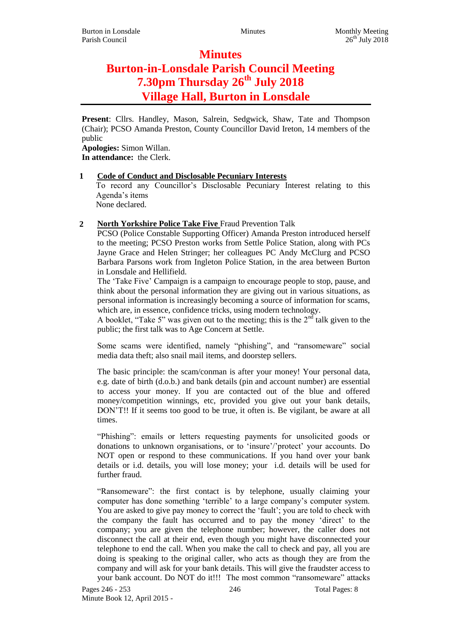# **Minutes Burton-in-Lonsdale Parish Council Meeting 7.30pm Thursday 26th July 2018 Village Hall, Burton in Lonsdale**

**Present**: Cllrs. Handley, Mason, Salrein, Sedgwick, Shaw, Tate and Thompson (Chair); PCSO Amanda Preston, County Councillor David Ireton, 14 members of the public

**Apologies:** Simon Willan. **In attendance:** the Clerk.

# **1 Code of Conduct and Disclosable Pecuniary Interests**

To record any Councillor's Disclosable Pecuniary Interest relating to this Agenda's items

None declared.

# **2 North Yorkshire Police Take Five** Fraud Prevention Talk

PCSO (Police Constable Supporting Officer) Amanda Preston introduced herself to the meeting; PCSO Preston works from Settle Police Station, along with PCs Jayne Grace and Helen Stringer; her colleagues PC Andy McClurg and PCSO Barbara Parsons work from Ingleton Police Station, in the area between Burton in Lonsdale and Hellifield.

The 'Take Five' Campaign is a campaign to encourage people to stop, pause, and think about the personal information they are giving out in various situations, as personal information is increasingly becoming a source of information for scams, which are, in essence, confidence tricks, using modern technology.

A booklet, "Take 5" was given out to the meeting; this is the  $2<sup>nd</sup>$  talk given to the public; the first talk was to Age Concern at Settle.

Some scams were identified, namely "phishing", and "ransomeware" social media data theft; also snail mail items, and doorstep sellers.

The basic principle: the scam/conman is after your money! Your personal data, e.g. date of birth (d.o.b.) and bank details (pin and account number) are essential to access your money. If you are contacted out of the blue and offered money/competition winnings, etc, provided you give out your bank details, DON'T!! If it seems too good to be true, it often is. Be vigilant, be aware at all times.

"Phishing": emails or letters requesting payments for unsolicited goods or donations to unknown organisations, or to 'insure'/'protect' your accounts. Do NOT open or respond to these communications. If you hand over your bank details or i.d. details, you will lose money; your i.d. details will be used for further fraud.

"Ransomeware": the first contact is by telephone, usually claiming your computer has done something 'terrible' to a large company's computer system. You are asked to give pay money to correct the 'fault'; you are told to check with the company the fault has occurred and to pay the money 'direct' to the company; you are given the telephone number; however, the caller does not disconnect the call at their end, even though you might have disconnected your telephone to end the call. When you make the call to check and pay, all you are doing is speaking to the original caller, who acts as though they are from the company and will ask for your bank details. This will give the fraudster access to your bank account. Do NOT do it!!! The most common "ransomeware" attacks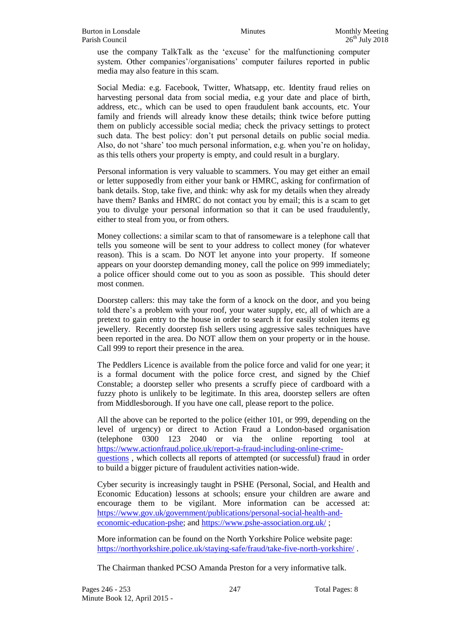use the company TalkTalk as the 'excuse' for the malfunctioning computer system. Other companies'/organisations' computer failures reported in public media may also feature in this scam.

Social Media: e.g. Facebook, Twitter, Whatsapp, etc. Identity fraud relies on harvesting personal data from social media, e.g your date and place of birth, address, etc., which can be used to open fraudulent bank accounts, etc. Your family and friends will already know these details; think twice before putting them on publicly accessible social media; check the privacy settings to protect such data. The best policy: don't put personal details on public social media. Also, do not 'share' too much personal information, e.g. when you're on holiday, as this tells others your property is empty, and could result in a burglary.

Personal information is very valuable to scammers. You may get either an email or letter supposedly from either your bank or HMRC, asking for confirmation of bank details. Stop, take five, and think: why ask for my details when they already have them? Banks and HMRC do not contact you by email; this is a scam to get you to divulge your personal information so that it can be used fraudulently, either to steal from you, or from others.

Money collections: a similar scam to that of ransomeware is a telephone call that tells you someone will be sent to your address to collect money (for whatever reason). This is a scam. Do NOT let anyone into your property. If someone appears on your doorstep demanding money, call the police on 999 immediately; a police officer should come out to you as soon as possible. This should deter most conmen.

Doorstep callers: this may take the form of a knock on the door, and you being told there's a problem with your roof, your water supply, etc, all of which are a pretext to gain entry to the house in order to search it for easily stolen items eg jewellery. Recently doorstep fish sellers using aggressive sales techniques have been reported in the area. Do NOT allow them on your property or in the house. Call 999 to report their presence in the area.

The Peddlers Licence is available from the police force and valid for one year; it is a formal document with the police force crest, and signed by the Chief Constable; a doorstep seller who presents a scruffy piece of cardboard with a fuzzy photo is unlikely to be legitimate. In this area, doorstep sellers are often from Middlesborough. If you have one call, please report to the police.

All the above can be reported to the police (either 101, or 999, depending on the level of urgency) or direct to Action Fraud a London-based organisation (telephone 0300 123 2040 or via the online reporting tool at [https://www.actionfraud.police.uk/report-a-fraud-including-online-crime](https://www.actionfraud.police.uk/report-a-fraud-including-online-crime-questions)[questions](https://www.actionfraud.police.uk/report-a-fraud-including-online-crime-questions) , which collects all reports of attempted (or successful) fraud in order to build a bigger picture of fraudulent activities nation-wide.

Cyber security is increasingly taught in PSHE (Personal, Social, and Health and Economic Education) lessons at schools; ensure your children are aware and encourage them to be vigilant. More information can be accessed at: [https://www.gov.uk/government/publications/personal-social-health-and](https://www.gov.uk/government/publications/personal-social-health-and-economic-education-pshe)[economic-education-pshe;](https://www.gov.uk/government/publications/personal-social-health-and-economic-education-pshe) and<https://www.pshe-association.org.uk/> ;

More information can be found on the North Yorkshire Police website page: <https://northyorkshire.police.uk/staying-safe/fraud/take-five-north-yorkshire/> .

The Chairman thanked PCSO Amanda Preston for a very informative talk.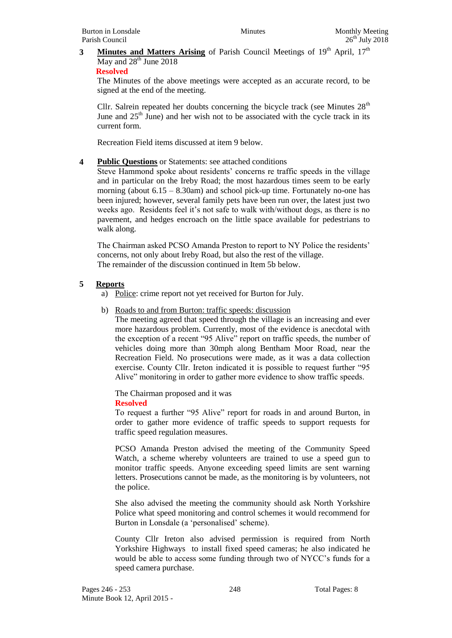# **3 Minutes and Matters Arising** of Parish Council Meetings of 19<sup>th</sup> April, 17<sup>th</sup> May and  $28<sup>th</sup>$  June 2018

# **Resolved**

The Minutes of the above meetings were accepted as an accurate record, to be signed at the end of the meeting.

Cllr. Salrein repeated her doubts concerning the bicycle track (see Minutes  $28<sup>th</sup>$ June and  $25<sup>th</sup>$  June) and her wish not to be associated with the cycle track in its current form.

Recreation Field items discussed at item 9 below.

# **4 Public Questions** or Statements: see attached conditions

Steve Hammond spoke about residents' concerns re traffic speeds in the village and in particular on the Ireby Road; the most hazardous times seem to be early morning (about 6.15 – 8.30am) and school pick-up time. Fortunately no-one has been injured; however, several family pets have been run over, the latest just two weeks ago. Residents feel it's not safe to walk with/without dogs, as there is no pavement, and hedges encroach on the little space available for pedestrians to walk along.

The Chairman asked PCSO Amanda Preston to report to NY Police the residents' concerns, not only about Ireby Road, but also the rest of the village. The remainder of the discussion continued in Item 5b below.

# **5 Reports**

- a) Police: crime report not yet received for Burton for July.
- b) Roads to and from Burton: traffic speeds: discussion

The meeting agreed that speed through the village is an increasing and ever more hazardous problem. Currently, most of the evidence is anecdotal with the exception of a recent "95 Alive" report on traffic speeds, the number of vehicles doing more than 30mph along Bentham Moor Road, near the Recreation Field. No prosecutions were made, as it was a data collection exercise. County Cllr. Ireton indicated it is possible to request further "95 Alive" monitoring in order to gather more evidence to show traffic speeds.

The Chairman proposed and it was **Resolved**

To request a further "95 Alive" report for roads in and around Burton, in order to gather more evidence of traffic speeds to support requests for traffic speed regulation measures.

PCSO Amanda Preston advised the meeting of the Community Speed Watch, a scheme whereby volunteers are trained to use a speed gun to monitor traffic speeds. Anyone exceeding speed limits are sent warning letters. Prosecutions cannot be made, as the monitoring is by volunteers, not the police.

She also advised the meeting the community should ask North Yorkshire Police what speed monitoring and control schemes it would recommend for Burton in Lonsdale (a 'personalised' scheme).

County Cllr Ireton also advised permission is required from North Yorkshire Highways to install fixed speed cameras; he also indicated he would be able to access some funding through two of NYCC's funds for a speed camera purchase.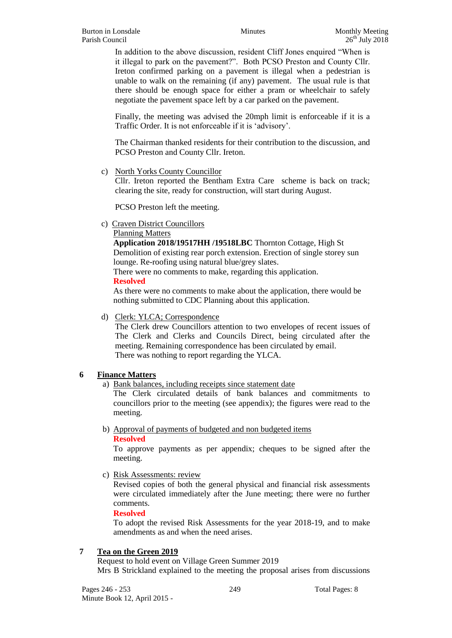In addition to the above discussion, resident Cliff Jones enquired "When is it illegal to park on the pavement?". Both PCSO Preston and County Cllr. Ireton confirmed parking on a pavement is illegal when a pedestrian is unable to walk on the remaining (if any) pavement. The usual rule is that there should be enough space for either a pram or wheelchair to safely negotiate the pavement space left by a car parked on the pavement.

Finally, the meeting was advised the 20mph limit is enforceable if it is a Traffic Order. It is not enforceable if it is 'advisory'.

The Chairman thanked residents for their contribution to the discussion, and PCSO Preston and County Cllr. Ireton.

c) North Yorks County Councillor

Cllr. Ireton reported the Bentham Extra Care scheme is back on track; clearing the site, ready for construction, will start during August.

PCSO Preston left the meeting.

c) Craven District Councillors

Planning Matters

**Application 2018/19517HH /19518LBC** Thornton Cottage, High St Demolition of existing rear porch extension. Erection of single storey sun lounge. Re-roofing using natural blue/grey slates.

There were no comments to make, regarding this application.

# **Resolved**

As there were no comments to make about the application, there would be nothing submitted to CDC Planning about this application.

# d) Clerk: YLCA; Correspondence

The Clerk drew Councillors attention to two envelopes of recent issues of The Clerk and Clerks and Councils Direct, being circulated after the meeting. Remaining correspondence has been circulated by email. There was nothing to report regarding the YLCA.

# **6 Finance Matters**

a) Bank balances, including receipts since statement date

The Clerk circulated details of bank balances and commitments to councillors prior to the meeting (see appendix); the figures were read to the meeting.

b) Approval of payments of budgeted and non budgeted items **Resolved**

To approve payments as per appendix; cheques to be signed after the meeting.

c) Risk Assessments: review

Revised copies of both the general physical and financial risk assessments were circulated immediately after the June meeting; there were no further comments.

# **Resolved**

To adopt the revised Risk Assessments for the year 2018-19, and to make amendments as and when the need arises.

# **7 Tea on the Green 2019**

Request to hold event on Village Green Summer 2019 Mrs B Strickland explained to the meeting the proposal arises from discussions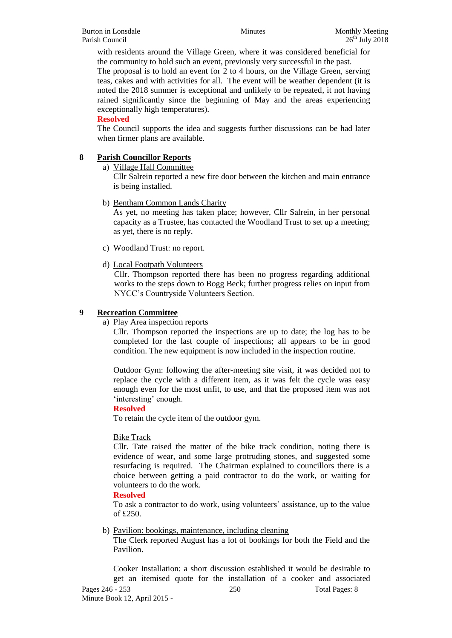with residents around the Village Green, where it was considered beneficial for the community to hold such an event, previously very successful in the past.

The proposal is to hold an event for 2 to 4 hours, on the Village Green, serving teas, cakes and with activities for all. The event will be weather dependent (it is noted the 2018 summer is exceptional and unlikely to be repeated, it not having rained significantly since the beginning of May and the areas experiencing exceptionally high temperatures).

# **Resolved**

The Council supports the idea and suggests further discussions can be had later when firmer plans are available.

# **8 Parish Councillor Reports**

a) Village Hall Committee

Cllr Salrein reported a new fire door between the kitchen and main entrance is being installed.

b) Bentham Common Lands Charity

As yet, no meeting has taken place; however, Cllr Salrein, in her personal capacity as a Trustee, has contacted the Woodland Trust to set up a meeting; as yet, there is no reply.

- c) Woodland Trust: no report.
- d) Local Footpath Volunteers

Cllr. Thompson reported there has been no progress regarding additional works to the steps down to Bogg Beck; further progress relies on input from NYCC's Countryside Volunteers Section.

# **9 Recreation Committee**

a) Play Area inspection reports

Cllr. Thompson reported the inspections are up to date; the log has to be completed for the last couple of inspections; all appears to be in good condition. The new equipment is now included in the inspection routine.

Outdoor Gym: following the after-meeting site visit, it was decided not to replace the cycle with a different item, as it was felt the cycle was easy enough even for the most unfit, to use, and that the proposed item was not 'interesting' enough.

# **Resolved**

To retain the cycle item of the outdoor gym.

# Bike Track

Cllr. Tate raised the matter of the bike track condition, noting there is evidence of wear, and some large protruding stones, and suggested some resurfacing is required. The Chairman explained to councillors there is a choice between getting a paid contractor to do the work, or waiting for volunteers to do the work.

#### **Resolved**

To ask a contractor to do work, using volunteers' assistance, up to the value of £250.

# b) Pavilion: bookings, maintenance, including cleaning

The Clerk reported August has a lot of bookings for both the Field and the Pavilion.

Pages 246 - 253 250 250 Total Pages: 8 Cooker Installation: a short discussion established it would be desirable to get an itemised quote for the installation of a cooker and associated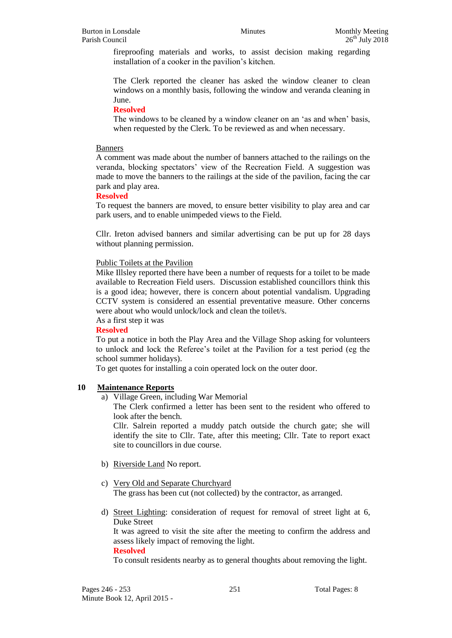fireproofing materials and works, to assist decision making regarding installation of a cooker in the pavilion's kitchen.

The Clerk reported the cleaner has asked the window cleaner to clean windows on a monthly basis, following the window and veranda cleaning in June.

# **Resolved**

The windows to be cleaned by a window cleaner on an 'as and when' basis, when requested by the Clerk. To be reviewed as and when necessary.

# Banners

A comment was made about the number of banners attached to the railings on the veranda, blocking spectators' view of the Recreation Field. A suggestion was made to move the banners to the railings at the side of the pavilion, facing the car park and play area.

# **Resolved**

To request the banners are moved, to ensure better visibility to play area and car park users, and to enable unimpeded views to the Field.

Cllr. Ireton advised banners and similar advertising can be put up for 28 days without planning permission.

# Public Toilets at the Pavilion

Mike Illsley reported there have been a number of requests for a toilet to be made available to Recreation Field users. Discussion established councillors think this is a good idea; however, there is concern about potential vandalism. Upgrading CCTV system is considered an essential preventative measure. Other concerns were about who would unlock/lock and clean the toilet/s.

# As a first step it was

# **Resolved**

To put a notice in both the Play Area and the Village Shop asking for volunteers to unlock and lock the Referee's toilet at the Pavilion for a test period (eg the school summer holidays).

To get quotes for installing a coin operated lock on the outer door.

# **10 Maintenance Reports**

a) Village Green, including War Memorial

The Clerk confirmed a letter has been sent to the resident who offered to look after the bench.

Cllr. Salrein reported a muddy patch outside the church gate; she will identify the site to Cllr. Tate, after this meeting; Cllr. Tate to report exact site to councillors in due course.

- b) Riverside Land No report.
- c) Very Old and Separate Churchyard

The grass has been cut (not collected) by the contractor, as arranged.

d) Street Lighting: consideration of request for removal of street light at 6, Duke Street

It was agreed to visit the site after the meeting to confirm the address and assess likely impact of removing the light.

#### **Resolved**

To consult residents nearby as to general thoughts about removing the light.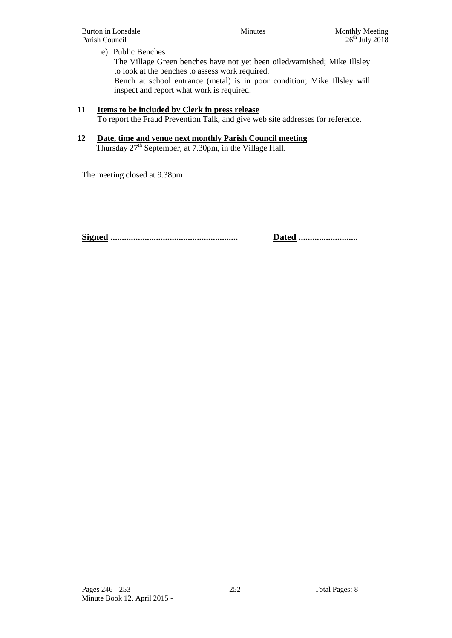Burton in Lonsdale Minutes Monthly Meeting Parish Council 26<sup>th</sup> July 2018

# e) Public Benches

The Village Green benches have not yet been oiled/varnished; Mike Illsley to look at the benches to assess work required.

Bench at school entrance (metal) is in poor condition; Mike Illsley will inspect and report what work is required.

# **11 Items to be included by Clerk in press release**

To report the Fraud Prevention Talk, and give web site addresses for reference.

# **12 Date, time and venue next monthly Parish Council meeting**

Thursday 27<sup>th</sup> September, at 7.30pm, in the Village Hall.

The meeting closed at 9.38pm

**Signed ........................................................ Dated ..........................**